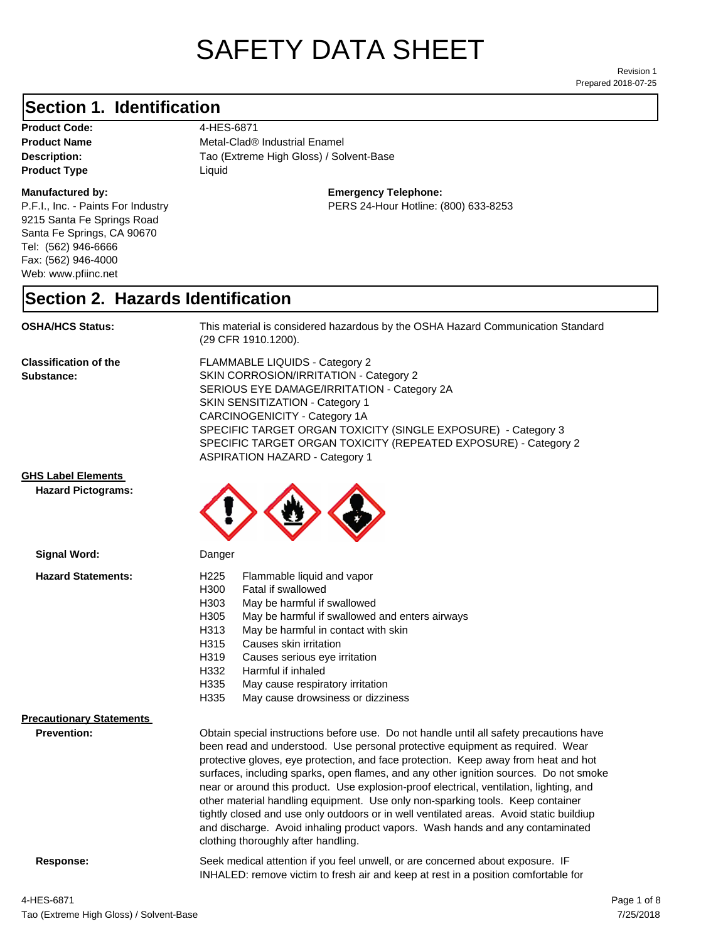# SAFETY DATA SHEET

Prepared 2018-07-25 Revision 1

# **Section 1. Identification**

**Product Code:** 4-HES-6871 **Product Type Liquid Liquid** 

#### **Manufactured by:**

P.F.I., Inc. - Paints For Industry 9215 Santa Fe Springs Road Santa Fe Springs, CA 90670 Tel: (562) 946-6666 Fax: (562) 946-4000 Web: www.pfiinc.net

**Description:** Tao (Extreme High Gloss) / Solvent-Base **Product Name** Metal-Clad® Industrial Enamel

**Emergency Telephone:**

PERS 24-Hour Hotline: (800) 633-8253

### **Section 2. Hazards Identification**

**OSHA/HCS Status:** This material is considered hazardous by the OSHA Hazard Communication Standard (29 CFR 1910.1200).

**Classification of the Substance:**

FLAMMABLE LIQUIDS - Category 2 SKIN CORROSION/IRRITATION - Category 2 SERIOUS EYE DAMAGE/IRRITATION - Category 2A SKIN SENSITIZATION - Category 1 CARCINOGENICITY - Category 1A SPECIFIC TARGET ORGAN TOXICITY (SINGLE EXPOSURE) - Category 3 SPECIFIC TARGET ORGAN TOXICITY (REPEATED EXPOSURE) - Category 2 ASPIRATION HAZARD - Category 1

INHALED: remove victim to fresh air and keep at rest in a position comfortable for

### **GHS Label Elements**

**Signal Word:**

**Hazard Pictograms:**



| <b>Hazard Statements:</b>       | H <sub>225</sub>                                                                      | Flammable liquid and vapor                                                              |  |
|---------------------------------|---------------------------------------------------------------------------------------|-----------------------------------------------------------------------------------------|--|
|                                 | H300                                                                                  | Fatal if swallowed                                                                      |  |
|                                 | H303                                                                                  | May be harmful if swallowed                                                             |  |
|                                 | H305                                                                                  | May be harmful if swallowed and enters airways                                          |  |
|                                 | H313                                                                                  | May be harmful in contact with skin                                                     |  |
|                                 | H315                                                                                  | Causes skin irritation                                                                  |  |
|                                 | H319                                                                                  | Causes serious eye irritation                                                           |  |
|                                 | H332                                                                                  | Harmful if inhaled                                                                      |  |
|                                 | H335                                                                                  | May cause respiratory irritation                                                        |  |
|                                 | H335                                                                                  | May cause drowsiness or dizziness                                                       |  |
| <b>Precautionary Statements</b> |                                                                                       |                                                                                         |  |
| <b>Prevention:</b>              |                                                                                       | Obtain special instructions before use. Do not handle until all safety precautions have |  |
|                                 |                                                                                       | been read and understood. Use personal protective equipment as required. Wear           |  |
|                                 |                                                                                       | protective gloves, eye protection, and face protection. Keep away from heat and hot     |  |
|                                 | surfaces, including sparks, open flames, and any other ignition sources. Do not smoke |                                                                                         |  |
|                                 |                                                                                       | near or around this product. Use explosion-proof electrical, ventilation, lighting, and |  |
|                                 |                                                                                       | other material handling equipment. Use only non-sparking tools. Keep container          |  |
|                                 |                                                                                       | tightly closed and use only outdoors or in well ventilated areas. Avoid static buildiup |  |
|                                 |                                                                                       | and discharge. Avoid inhaling product vapors. Wash hands and any contaminated           |  |
|                                 |                                                                                       | clothing thoroughly after handling.                                                     |  |
|                                 |                                                                                       |                                                                                         |  |

**Response:** Seek medical attention if you feel unwell, or are concerned about exposure. IF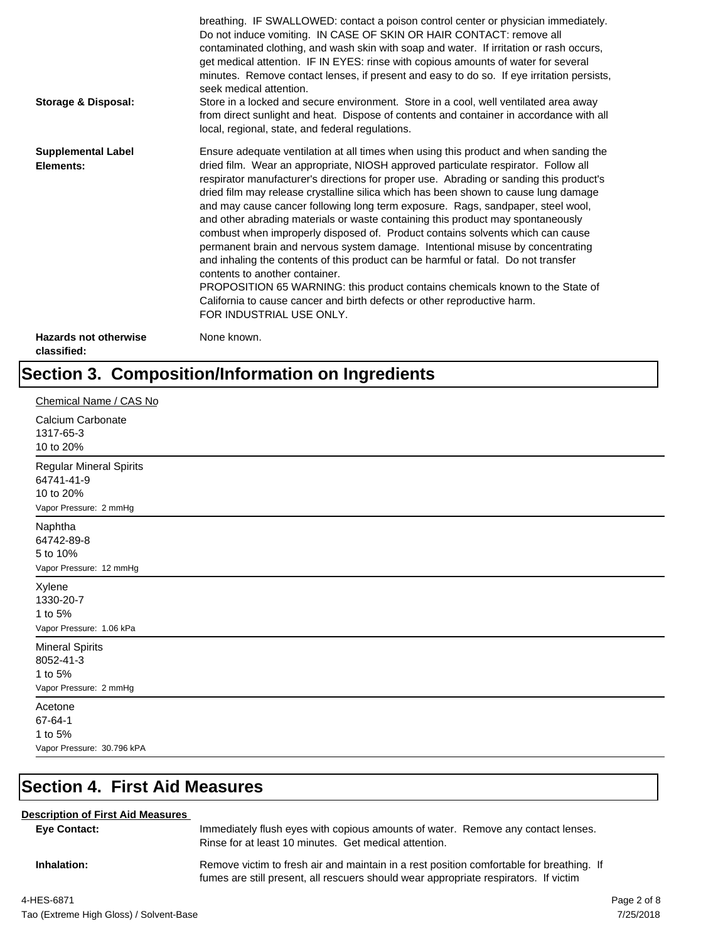| <b>Storage &amp; Disposal:</b>              | breathing. IF SWALLOWED: contact a poison control center or physician immediately.<br>Do not induce vomiting. IN CASE OF SKIN OR HAIR CONTACT: remove all<br>contaminated clothing, and wash skin with soap and water. If irritation or rash occurs,<br>get medical attention. IF IN EYES: rinse with copious amounts of water for several<br>minutes. Remove contact lenses, if present and easy to do so. If eye irritation persists,<br>seek medical attention.<br>Store in a locked and secure environment. Store in a cool, well ventilated area away<br>from direct sunlight and heat. Dispose of contents and container in accordance with all<br>local, regional, state, and federal regulations.                                                                                                                                                                                                                                                                                                                |
|---------------------------------------------|--------------------------------------------------------------------------------------------------------------------------------------------------------------------------------------------------------------------------------------------------------------------------------------------------------------------------------------------------------------------------------------------------------------------------------------------------------------------------------------------------------------------------------------------------------------------------------------------------------------------------------------------------------------------------------------------------------------------------------------------------------------------------------------------------------------------------------------------------------------------------------------------------------------------------------------------------------------------------------------------------------------------------|
| <b>Supplemental Label</b><br>Elements:      | Ensure adequate ventilation at all times when using this product and when sanding the<br>dried film. Wear an appropriate, NIOSH approved particulate respirator. Follow all<br>respirator manufacturer's directions for proper use. Abrading or sanding this product's<br>dried film may release crystalline silica which has been shown to cause lung damage<br>and may cause cancer following long term exposure. Rags, sandpaper, steel wool,<br>and other abrading materials or waste containing this product may spontaneously<br>combust when improperly disposed of. Product contains solvents which can cause<br>permanent brain and nervous system damage. Intentional misuse by concentrating<br>and inhaling the contents of this product can be harmful or fatal. Do not transfer<br>contents to another container.<br>PROPOSITION 65 WARNING: this product contains chemicals known to the State of<br>California to cause cancer and birth defects or other reproductive harm.<br>FOR INDUSTRIAL USE ONLY. |
| <b>Hazards not otherwise</b><br>classified: | None known.                                                                                                                                                                                                                                                                                                                                                                                                                                                                                                                                                                                                                                                                                                                                                                                                                                                                                                                                                                                                              |

# **Section 3. Composition/Information on Ingredients**

| Chemical Name / CAS No                                                              |
|-------------------------------------------------------------------------------------|
| Calcium Carbonate<br>1317-65-3<br>10 to 20%                                         |
| <b>Regular Mineral Spirits</b><br>64741-41-9<br>10 to 20%<br>Vapor Pressure: 2 mmHg |
| Naphtha<br>64742-89-8<br>5 to 10%<br>Vapor Pressure: 12 mmHg                        |
| Xylene<br>1330-20-7<br>1 to 5%<br>Vapor Pressure: 1.06 kPa                          |
| <b>Mineral Spirits</b><br>8052-41-3<br>1 to 5%<br>Vapor Pressure: 2 mmHg            |
| Acetone<br>67-64-1<br>1 to 5%<br>Vapor Pressure: 30.796 kPA                         |

# **Section 4. First Aid Measures**

### **Description of First Aid Measures**

| Eye Contact: | Immediately flush eyes with copious amounts of water. Remove any contact lenses.<br>Rinse for at least 10 minutes. Get medical attention.                                        |
|--------------|----------------------------------------------------------------------------------------------------------------------------------------------------------------------------------|
| Inhalation:  | Remove victim to fresh air and maintain in a rest position comfortable for breathing. If<br>fumes are still present, all rescuers should wear appropriate respirators. If victim |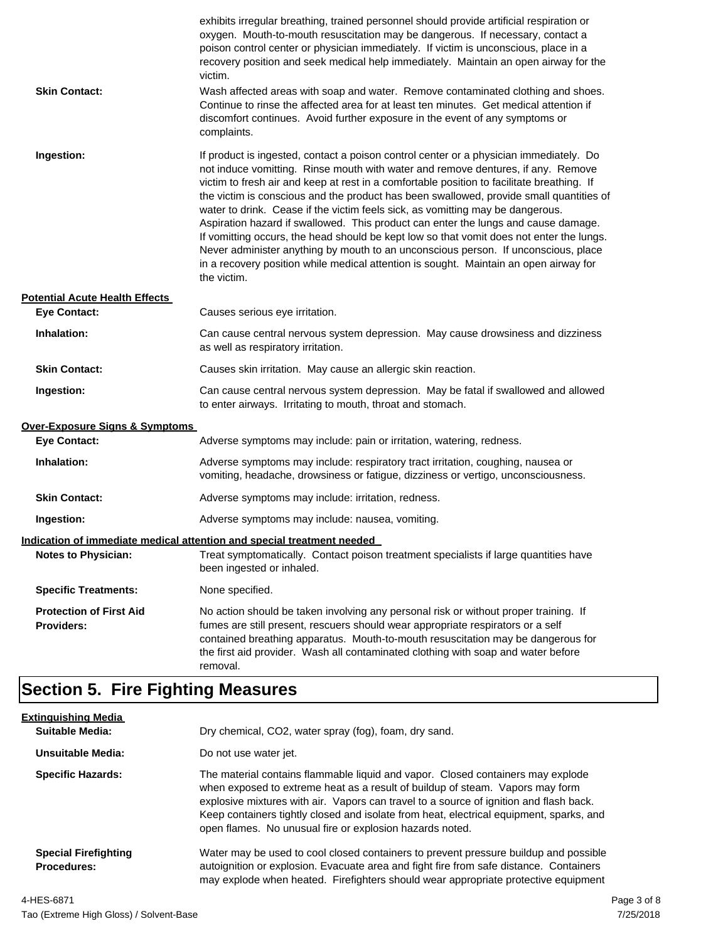| <b>Skin Contact:</b>                                | exhibits irregular breathing, trained personnel should provide artificial respiration or<br>oxygen. Mouth-to-mouth resuscitation may be dangerous. If necessary, contact a<br>poison control center or physician immediately. If victim is unconscious, place in a<br>recovery position and seek medical help immediately. Maintain an open airway for the<br>victim.<br>Wash affected areas with soap and water. Remove contaminated clothing and shoes.<br>Continue to rinse the affected area for at least ten minutes. Get medical attention if<br>discomfort continues. Avoid further exposure in the event of any symptoms or<br>complaints.                                                                                                                                                                                    |
|-----------------------------------------------------|---------------------------------------------------------------------------------------------------------------------------------------------------------------------------------------------------------------------------------------------------------------------------------------------------------------------------------------------------------------------------------------------------------------------------------------------------------------------------------------------------------------------------------------------------------------------------------------------------------------------------------------------------------------------------------------------------------------------------------------------------------------------------------------------------------------------------------------|
| Ingestion:                                          | If product is ingested, contact a poison control center or a physician immediately. Do<br>not induce vomitting. Rinse mouth with water and remove dentures, if any. Remove<br>victim to fresh air and keep at rest in a comfortable position to facilitate breathing. If<br>the victim is conscious and the product has been swallowed, provide small quantities of<br>water to drink. Cease if the victim feels sick, as vomitting may be dangerous.<br>Aspiration hazard if swallowed. This product can enter the lungs and cause damage.<br>If vomitting occurs, the head should be kept low so that vomit does not enter the lungs.<br>Never administer anything by mouth to an unconscious person. If unconscious, place<br>in a recovery position while medical attention is sought. Maintain an open airway for<br>the victim. |
| <b>Potential Acute Health Effects</b>               |                                                                                                                                                                                                                                                                                                                                                                                                                                                                                                                                                                                                                                                                                                                                                                                                                                       |
| <b>Eye Contact:</b>                                 | Causes serious eye irritation.                                                                                                                                                                                                                                                                                                                                                                                                                                                                                                                                                                                                                                                                                                                                                                                                        |
| Inhalation:                                         | Can cause central nervous system depression. May cause drowsiness and dizziness<br>as well as respiratory irritation.                                                                                                                                                                                                                                                                                                                                                                                                                                                                                                                                                                                                                                                                                                                 |
| <b>Skin Contact:</b>                                | Causes skin irritation. May cause an allergic skin reaction.                                                                                                                                                                                                                                                                                                                                                                                                                                                                                                                                                                                                                                                                                                                                                                          |
| Ingestion:                                          | Can cause central nervous system depression. May be fatal if swallowed and allowed<br>to enter airways. Irritating to mouth, throat and stomach.                                                                                                                                                                                                                                                                                                                                                                                                                                                                                                                                                                                                                                                                                      |
| <b>Over-Exposure Signs &amp; Symptoms</b>           |                                                                                                                                                                                                                                                                                                                                                                                                                                                                                                                                                                                                                                                                                                                                                                                                                                       |
| <b>Eye Contact:</b>                                 | Adverse symptoms may include: pain or irritation, watering, redness.                                                                                                                                                                                                                                                                                                                                                                                                                                                                                                                                                                                                                                                                                                                                                                  |
| Inhalation:                                         | Adverse symptoms may include: respiratory tract irritation, coughing, nausea or<br>vomiting, headache, drowsiness or fatigue, dizziness or vertigo, unconsciousness.                                                                                                                                                                                                                                                                                                                                                                                                                                                                                                                                                                                                                                                                  |
| <b>Skin Contact:</b>                                | Adverse symptoms may include: irritation, redness.                                                                                                                                                                                                                                                                                                                                                                                                                                                                                                                                                                                                                                                                                                                                                                                    |
| Ingestion:                                          | Adverse symptoms may include: nausea, vomiting.                                                                                                                                                                                                                                                                                                                                                                                                                                                                                                                                                                                                                                                                                                                                                                                       |
|                                                     | Indication of immediate medical attention and special treatment needed                                                                                                                                                                                                                                                                                                                                                                                                                                                                                                                                                                                                                                                                                                                                                                |
| <b>Notes to Physician:</b>                          | Treat symptomatically. Contact poison treatment specialists if large quantities have<br>been ingested or inhaled.                                                                                                                                                                                                                                                                                                                                                                                                                                                                                                                                                                                                                                                                                                                     |
| <b>Specific Treatments:</b>                         | None specified.                                                                                                                                                                                                                                                                                                                                                                                                                                                                                                                                                                                                                                                                                                                                                                                                                       |
| <b>Protection of First Aid</b><br><b>Providers:</b> | No action should be taken involving any personal risk or without proper training. If<br>fumes are still present, rescuers should wear appropriate respirators or a self<br>contained breathing apparatus. Mouth-to-mouth resuscitation may be dangerous for<br>the first aid provider. Wash all contaminated clothing with soap and water before<br>removal.                                                                                                                                                                                                                                                                                                                                                                                                                                                                          |

# **Section 5. Fire Fighting Measures**

| <b>Extinguishing Media</b><br>Suitable Media:     | Dry chemical, CO2, water spray (fog), foam, dry sand.                                                                                                                                                                                                                                                                                                                                                             |
|---------------------------------------------------|-------------------------------------------------------------------------------------------------------------------------------------------------------------------------------------------------------------------------------------------------------------------------------------------------------------------------------------------------------------------------------------------------------------------|
| Unsuitable Media:                                 | Do not use water jet.                                                                                                                                                                                                                                                                                                                                                                                             |
| <b>Specific Hazards:</b>                          | The material contains flammable liquid and vapor. Closed containers may explode<br>when exposed to extreme heat as a result of buildup of steam. Vapors may form<br>explosive mixtures with air. Vapors can travel to a source of ignition and flash back.<br>Keep containers tightly closed and isolate from heat, electrical equipment, sparks, and<br>open flames. No unusual fire or explosion hazards noted. |
| <b>Special Firefighting</b><br><b>Procedures:</b> | Water may be used to cool closed containers to prevent pressure buildup and possible<br>autoignition or explosion. Evacuate area and fight fire from safe distance. Containers<br>may explode when heated. Firefighters should wear appropriate protective equipment                                                                                                                                              |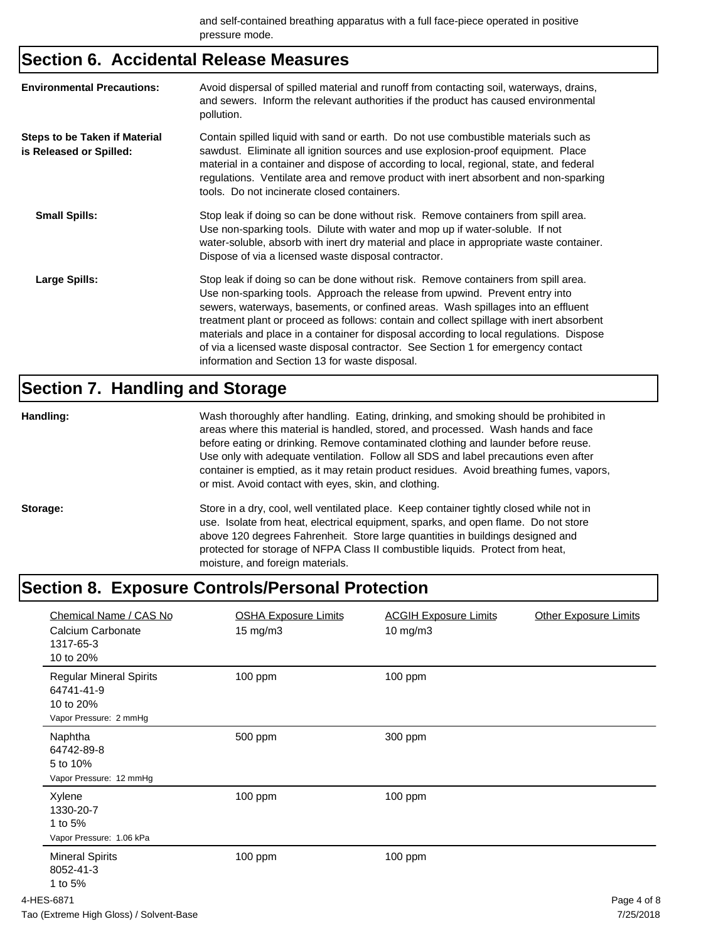# **Section 6. Accidental Release Measures**

| <b>Environmental Precautions:</b>                               | Avoid dispersal of spilled material and runoff from contacting soil, waterways, drains,<br>and sewers. Inform the relevant authorities if the product has caused environmental<br>pollution.                                                                                                                                                                                                                                                                                                                                                                                        |
|-----------------------------------------------------------------|-------------------------------------------------------------------------------------------------------------------------------------------------------------------------------------------------------------------------------------------------------------------------------------------------------------------------------------------------------------------------------------------------------------------------------------------------------------------------------------------------------------------------------------------------------------------------------------|
| <b>Steps to be Taken if Material</b><br>is Released or Spilled: | Contain spilled liquid with sand or earth. Do not use combustible materials such as<br>sawdust. Eliminate all ignition sources and use explosion-proof equipment. Place<br>material in a container and dispose of according to local, regional, state, and federal<br>regulations. Ventilate area and remove product with inert absorbent and non-sparking<br>tools. Do not incinerate closed containers.                                                                                                                                                                           |
| <b>Small Spills:</b>                                            | Stop leak if doing so can be done without risk. Remove containers from spill area.<br>Use non-sparking tools. Dilute with water and mop up if water-soluble. If not<br>water-soluble, absorb with inert dry material and place in appropriate waste container.<br>Dispose of via a licensed waste disposal contractor.                                                                                                                                                                                                                                                              |
| Large Spills:                                                   | Stop leak if doing so can be done without risk. Remove containers from spill area.<br>Use non-sparking tools. Approach the release from upwind. Prevent entry into<br>sewers, waterways, basements, or confined areas. Wash spillages into an effluent<br>treatment plant or proceed as follows: contain and collect spillage with inert absorbent<br>materials and place in a container for disposal according to local regulations. Dispose<br>of via a licensed waste disposal contractor. See Section 1 for emergency contact<br>information and Section 13 for waste disposal. |

# **Section 7. Handling and Storage**

| Handling: | Wash thoroughly after handling. Eating, drinking, and smoking should be prohibited in<br>areas where this material is handled, stored, and processed. Wash hands and face<br>before eating or drinking. Remove contaminated clothing and launder before reuse.<br>Use only with adequate ventilation. Follow all SDS and label precautions even after<br>container is emptied, as it may retain product residues. Avoid breathing fumes, vapors,<br>or mist. Avoid contact with eyes, skin, and clothing. |
|-----------|-----------------------------------------------------------------------------------------------------------------------------------------------------------------------------------------------------------------------------------------------------------------------------------------------------------------------------------------------------------------------------------------------------------------------------------------------------------------------------------------------------------|
| Storage:  | Store in a dry, cool, well ventilated place. Keep container tightly closed while not in<br>use. Isolate from heat, electrical equipment, sparks, and open flame. Do not store<br>above 120 degrees Fahrenheit. Store large quantities in buildings designed and<br>protected for storage of NFPA Class II combustible liquids. Protect from heat,<br>moisture, and foreign materials.                                                                                                                     |

# **Section 8. Exposure Controls/Personal Protection**

| Chemical Name / CAS No<br>Calcium Carbonate<br>1317-65-3<br>10 to 20%               | <b>OSHA Exposure Limits</b><br>15 mg/m3 | <b>ACGIH Exposure Limits</b><br>10 mg/m3 | <b>Other Exposure Limits</b> |
|-------------------------------------------------------------------------------------|-----------------------------------------|------------------------------------------|------------------------------|
| <b>Regular Mineral Spirits</b><br>64741-41-9<br>10 to 20%<br>Vapor Pressure: 2 mmHg | 100 ppm                                 | $100$ ppm                                |                              |
| Naphtha<br>64742-89-8<br>5 to 10%<br>Vapor Pressure: 12 mmHg                        | 500 ppm                                 | 300 ppm                                  |                              |
| Xylene<br>1330-20-7<br>1 to 5%<br>Vapor Pressure: 1.06 kPa                          | 100 ppm                                 | $100$ ppm                                |                              |
| <b>Mineral Spirits</b><br>8052-41-3<br>1 to 5%                                      | 100 ppm                                 | $100$ ppm                                |                              |
| 4-HES-6871                                                                          |                                         |                                          | Page 4 of 8                  |
| Tao (Extreme High Gloss) / Solvent-Base                                             |                                         |                                          | 7/25/2018                    |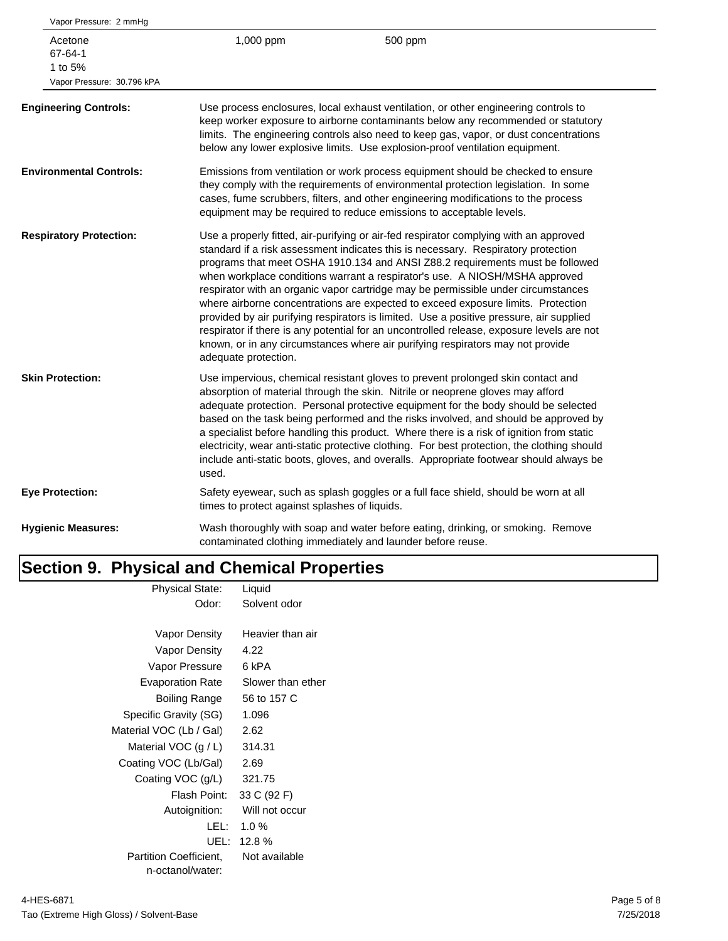| Vapor Pressure: 2 mmHg                                      |                                               |                                                                                                                                                                                                                                                                                                                                                                                                                                                                                                                                                                                                                                                                                                                                                                                               |
|-------------------------------------------------------------|-----------------------------------------------|-----------------------------------------------------------------------------------------------------------------------------------------------------------------------------------------------------------------------------------------------------------------------------------------------------------------------------------------------------------------------------------------------------------------------------------------------------------------------------------------------------------------------------------------------------------------------------------------------------------------------------------------------------------------------------------------------------------------------------------------------------------------------------------------------|
| Acetone<br>67-64-1<br>1 to 5%<br>Vapor Pressure: 30.796 kPA | 1,000 ppm                                     | 500 ppm                                                                                                                                                                                                                                                                                                                                                                                                                                                                                                                                                                                                                                                                                                                                                                                       |
| <b>Engineering Controls:</b>                                |                                               | Use process enclosures, local exhaust ventilation, or other engineering controls to<br>keep worker exposure to airborne contaminants below any recommended or statutory<br>limits. The engineering controls also need to keep gas, vapor, or dust concentrations<br>below any lower explosive limits. Use explosion-proof ventilation equipment.                                                                                                                                                                                                                                                                                                                                                                                                                                              |
| <b>Environmental Controls:</b>                              |                                               | Emissions from ventilation or work process equipment should be checked to ensure<br>they comply with the requirements of environmental protection legislation. In some<br>cases, fume scrubbers, filters, and other engineering modifications to the process<br>equipment may be required to reduce emissions to acceptable levels.                                                                                                                                                                                                                                                                                                                                                                                                                                                           |
| <b>Respiratory Protection:</b>                              | adequate protection.                          | Use a properly fitted, air-purifying or air-fed respirator complying with an approved<br>standard if a risk assessment indicates this is necessary. Respiratory protection<br>programs that meet OSHA 1910.134 and ANSI Z88.2 requirements must be followed<br>when workplace conditions warrant a respirator's use. A NIOSH/MSHA approved<br>respirator with an organic vapor cartridge may be permissible under circumstances<br>where airborne concentrations are expected to exceed exposure limits. Protection<br>provided by air purifying respirators is limited. Use a positive pressure, air supplied<br>respirator if there is any potential for an uncontrolled release, exposure levels are not<br>known, or in any circumstances where air purifying respirators may not provide |
| <b>Skin Protection:</b>                                     | used.                                         | Use impervious, chemical resistant gloves to prevent prolonged skin contact and<br>absorption of material through the skin. Nitrile or neoprene gloves may afford<br>adequate protection. Personal protective equipment for the body should be selected<br>based on the task being performed and the risks involved, and should be approved by<br>a specialist before handling this product. Where there is a risk of ignition from static<br>electricity, wear anti-static protective clothing. For best protection, the clothing should<br>include anti-static boots, gloves, and overalls. Appropriate footwear should always be                                                                                                                                                           |
| <b>Eye Protection:</b>                                      | times to protect against splashes of liquids. | Safety eyewear, such as splash goggles or a full face shield, should be worn at all                                                                                                                                                                                                                                                                                                                                                                                                                                                                                                                                                                                                                                                                                                           |
| <b>Hygienic Measures:</b>                                   |                                               | Wash thoroughly with soap and water before eating, drinking, or smoking. Remove<br>contaminated clothing immediately and launder before reuse.                                                                                                                                                                                                                                                                                                                                                                                                                                                                                                                                                                                                                                                |
|                                                             |                                               |                                                                                                                                                                                                                                                                                                                                                                                                                                                                                                                                                                                                                                                                                                                                                                                               |

### **Section 9. Physical and Chemical Properties** Physical State: Liquid

| Physical State.               | Liguid            |
|-------------------------------|-------------------|
| Odor:                         | Solvent odor      |
|                               |                   |
| Vapor Density                 | Heavier than air  |
| Vapor Density                 | 4.22              |
| Vapor Pressure                | 6 kPA             |
| <b>Evaporation Rate</b>       | Slower than ether |
| Boiling Range                 | 56 to 157 C       |
| Specific Gravity (SG)         | 1.096             |
| Material VOC (Lb / Gal)       | 2.62              |
| Material VOC $(g/L)$          | 314.31            |
| Coating VOC (Lb/Gal)          | 2.69              |
| Coating VOC (g/L)             | 321.75            |
| Flash Point:                  | 33 C (92 F)       |
| Autoignition:                 | Will not occur    |
| LEL:                          | $1.0 \%$          |
| UEL:                          | 12.8%             |
| <b>Partition Coefficient.</b> | Not available     |
| n-octanol/water:              |                   |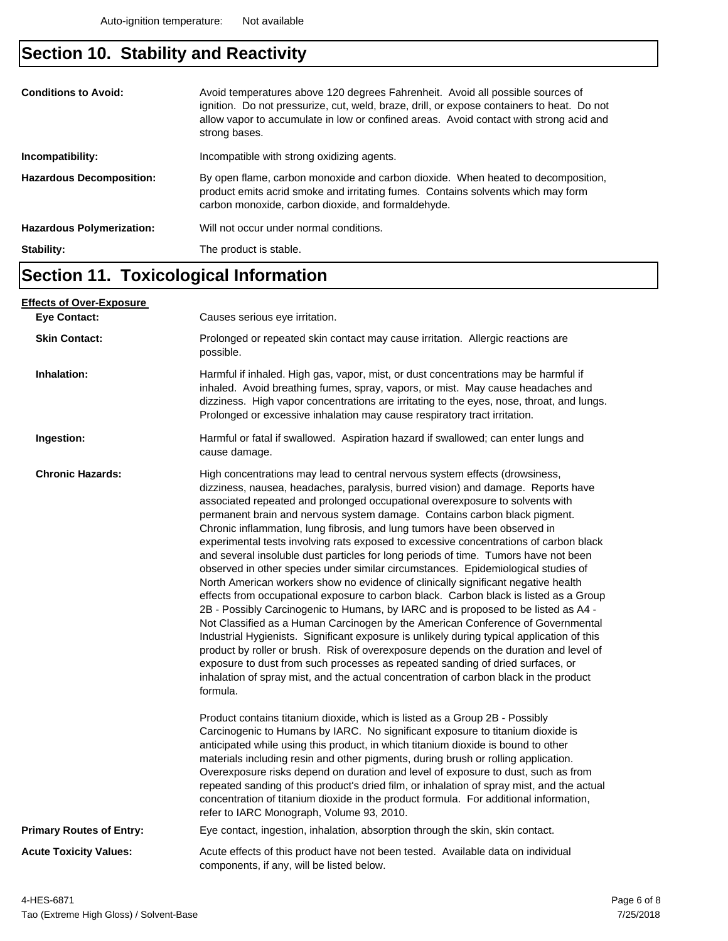# **Section 10. Stability and Reactivity**

| <b>Conditions to Avoid:</b><br>Incompatibility: | Avoid temperatures above 120 degrees Fahrenheit. Avoid all possible sources of<br>ignition. Do not pressurize, cut, weld, braze, drill, or expose containers to heat. Do not<br>allow vapor to accumulate in low or confined areas. Avoid contact with strong acid and<br>strong bases.<br>Incompatible with strong oxidizing agents. |
|-------------------------------------------------|---------------------------------------------------------------------------------------------------------------------------------------------------------------------------------------------------------------------------------------------------------------------------------------------------------------------------------------|
|                                                 |                                                                                                                                                                                                                                                                                                                                       |
| <b>Hazardous Decomposition:</b>                 | By open flame, carbon monoxide and carbon dioxide. When heated to decomposition,<br>product emits acrid smoke and irritating fumes. Contains solvents which may form<br>carbon monoxide, carbon dioxide, and formaldehyde.                                                                                                            |
| <b>Hazardous Polymerization:</b>                | Will not occur under normal conditions.                                                                                                                                                                                                                                                                                               |
| Stability:                                      | The product is stable.                                                                                                                                                                                                                                                                                                                |

# **Section 11. Toxicological Information**

| <u>Effects of Over-Exposure_</u> |                                                                                                                                                                                                                                                                                                                                                                                                                                                                                                                                                                                                                                                                                                                                                                                                                                                                                                                                                                                                                                                                                                                                                                                                                                                                                                                                                                                                                      |  |  |
|----------------------------------|----------------------------------------------------------------------------------------------------------------------------------------------------------------------------------------------------------------------------------------------------------------------------------------------------------------------------------------------------------------------------------------------------------------------------------------------------------------------------------------------------------------------------------------------------------------------------------------------------------------------------------------------------------------------------------------------------------------------------------------------------------------------------------------------------------------------------------------------------------------------------------------------------------------------------------------------------------------------------------------------------------------------------------------------------------------------------------------------------------------------------------------------------------------------------------------------------------------------------------------------------------------------------------------------------------------------------------------------------------------------------------------------------------------------|--|--|
| <b>Eve Contact:</b>              | Causes serious eye irritation.                                                                                                                                                                                                                                                                                                                                                                                                                                                                                                                                                                                                                                                                                                                                                                                                                                                                                                                                                                                                                                                                                                                                                                                                                                                                                                                                                                                       |  |  |
| <b>Skin Contact:</b>             | Prolonged or repeated skin contact may cause irritation. Allergic reactions are<br>possible.                                                                                                                                                                                                                                                                                                                                                                                                                                                                                                                                                                                                                                                                                                                                                                                                                                                                                                                                                                                                                                                                                                                                                                                                                                                                                                                         |  |  |
| Inhalation:                      | Harmful if inhaled. High gas, vapor, mist, or dust concentrations may be harmful if<br>inhaled. Avoid breathing fumes, spray, vapors, or mist. May cause headaches and<br>dizziness. High vapor concentrations are irritating to the eyes, nose, throat, and lungs.<br>Prolonged or excessive inhalation may cause respiratory tract irritation.                                                                                                                                                                                                                                                                                                                                                                                                                                                                                                                                                                                                                                                                                                                                                                                                                                                                                                                                                                                                                                                                     |  |  |
| Ingestion:                       | Harmful or fatal if swallowed. Aspiration hazard if swallowed; can enter lungs and<br>cause damage.                                                                                                                                                                                                                                                                                                                                                                                                                                                                                                                                                                                                                                                                                                                                                                                                                                                                                                                                                                                                                                                                                                                                                                                                                                                                                                                  |  |  |
| <b>Chronic Hazards:</b>          | High concentrations may lead to central nervous system effects (drowsiness,<br>dizziness, nausea, headaches, paralysis, burred vision) and damage. Reports have<br>associated repeated and prolonged occupational overexposure to solvents with<br>permanent brain and nervous system damage. Contains carbon black pigment.<br>Chronic inflammation, lung fibrosis, and lung tumors have been observed in<br>experimental tests involving rats exposed to excessive concentrations of carbon black<br>and several insoluble dust particles for long periods of time. Tumors have not been<br>observed in other species under similar circumstances. Epidemiological studies of<br>North American workers show no evidence of clinically significant negative health<br>effects from occupational exposure to carbon black. Carbon black is listed as a Group<br>2B - Possibly Carcinogenic to Humans, by IARC and is proposed to be listed as A4 -<br>Not Classified as a Human Carcinogen by the American Conference of Governmental<br>Industrial Hygienists. Significant exposure is unlikely during typical application of this<br>product by roller or brush. Risk of overexposure depends on the duration and level of<br>exposure to dust from such processes as repeated sanding of dried surfaces, or<br>inhalation of spray mist, and the actual concentration of carbon black in the product<br>formula. |  |  |
|                                  | Product contains titanium dioxide, which is listed as a Group 2B - Possibly<br>Carcinogenic to Humans by IARC. No significant exposure to titanium dioxide is<br>anticipated while using this product, in which titanium dioxide is bound to other<br>materials including resin and other pigments, during brush or rolling application.<br>Overexposure risks depend on duration and level of exposure to dust, such as from<br>repeated sanding of this product's dried film, or inhalation of spray mist, and the actual<br>concentration of titanium dioxide in the product formula. For additional information,<br>refer to IARC Monograph, Volume 93, 2010.                                                                                                                                                                                                                                                                                                                                                                                                                                                                                                                                                                                                                                                                                                                                                    |  |  |
| <b>Primary Routes of Entry:</b>  | Eye contact, ingestion, inhalation, absorption through the skin, skin contact.                                                                                                                                                                                                                                                                                                                                                                                                                                                                                                                                                                                                                                                                                                                                                                                                                                                                                                                                                                                                                                                                                                                                                                                                                                                                                                                                       |  |  |
| <b>Acute Toxicity Values:</b>    | Acute effects of this product have not been tested. Available data on individual<br>components, if any, will be listed below.                                                                                                                                                                                                                                                                                                                                                                                                                                                                                                                                                                                                                                                                                                                                                                                                                                                                                                                                                                                                                                                                                                                                                                                                                                                                                        |  |  |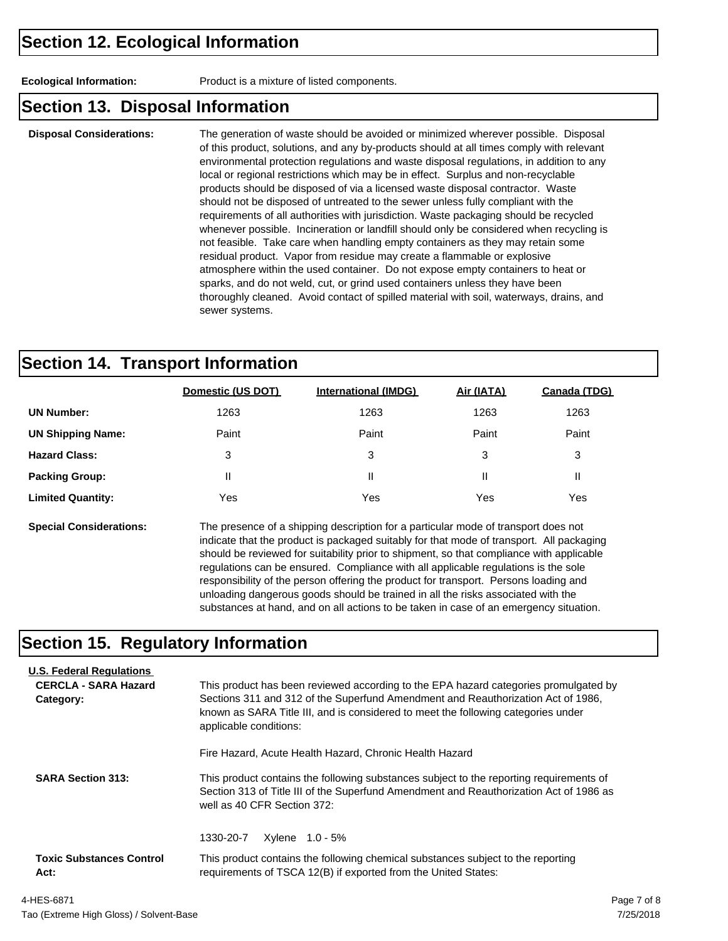**Ecological Information:** Product is a mixture of listed components.

### **Section 13. Disposal Information**

**Disposal Considerations:** The generation of waste should be avoided or minimized wherever possible. Disposal of this product, solutions, and any by-products should at all times comply with relevant environmental protection regulations and waste disposal regulations, in addition to any local or regional restrictions which may be in effect. Surplus and non-recyclable products should be disposed of via a licensed waste disposal contractor. Waste should not be disposed of untreated to the sewer unless fully compliant with the requirements of all authorities with jurisdiction. Waste packaging should be recycled whenever possible. Incineration or landfill should only be considered when recycling is not feasible. Take care when handling empty containers as they may retain some residual product. Vapor from residue may create a flammable or explosive atmosphere within the used container. Do not expose empty containers to heat or sparks, and do not weld, cut, or grind used containers unless they have been thoroughly cleaned. Avoid contact of spilled material with soil, waterways, drains, and sewer systems.

### **Section 14. Transport Information**

|                          | Domestic (US DOT) | <b>International (IMDG)</b> | Air (IATA) | Canada (TDG) |
|--------------------------|-------------------|-----------------------------|------------|--------------|
| <b>UN Number:</b>        | 1263              | 1263                        | 1263       | 1263         |
| <b>UN Shipping Name:</b> | Paint             | Paint                       | Paint      | Paint        |
| <b>Hazard Class:</b>     | 3                 | 3                           | 3          | 3            |
| <b>Packing Group:</b>    | $\mathsf{I}$      | Ш                           | Ш          | Ш            |
| <b>Limited Quantity:</b> | Yes               | Yes                         | Yes        | Yes          |
|                          |                   |                             |            |              |

**Special Considerations:** The presence of a shipping description for a particular mode of transport does not indicate that the product is packaged suitably for that mode of transport. All packaging should be reviewed for suitability prior to shipment, so that compliance with applicable regulations can be ensured. Compliance with all applicable regulations is the sole responsibility of the person offering the product for transport. Persons loading and unloading dangerous goods should be trained in all the risks associated with the substances at hand, and on all actions to be taken in case of an emergency situation.

## **Section 15. Regulatory Information**

| <b>U.S. Federal Regulations</b><br><b>CERCLA - SARA Hazard</b><br>Category: | This product has been reviewed according to the EPA hazard categories promulgated by<br>Sections 311 and 312 of the Superfund Amendment and Reauthorization Act of 1986,<br>known as SARA Title III, and is considered to meet the following categories under<br>applicable conditions: |  |  |  |
|-----------------------------------------------------------------------------|-----------------------------------------------------------------------------------------------------------------------------------------------------------------------------------------------------------------------------------------------------------------------------------------|--|--|--|
| <b>SARA Section 313:</b>                                                    | Fire Hazard, Acute Health Hazard, Chronic Health Hazard<br>This product contains the following substances subject to the reporting requirements of<br>Section 313 of Title III of the Superfund Amendment and Reauthorization Act of 1986 as<br>well as 40 CFR Section 372:             |  |  |  |
| <b>Toxic Substances Control</b><br>Act:                                     | 1330-20-7<br>Xylene 1.0 - 5%<br>This product contains the following chemical substances subject to the reporting<br>requirements of TSCA 12(B) if exported from the United States:                                                                                                      |  |  |  |